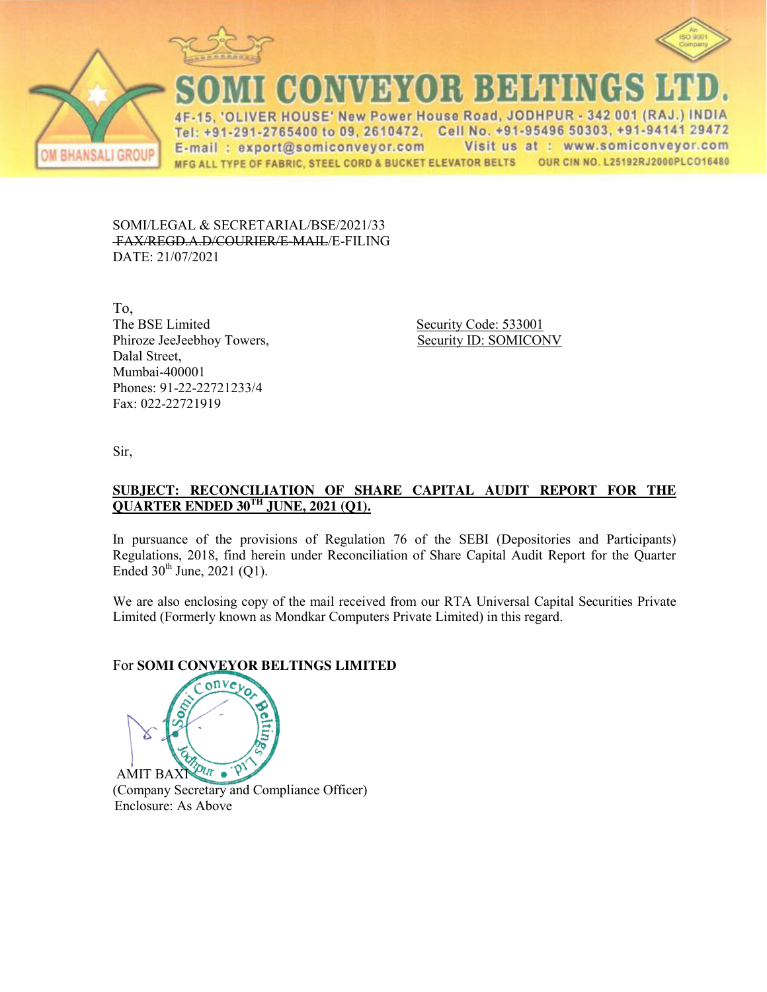





CONVEYOR BELTINGS

IVER HOUSE' New Power House Road, JODHPUR - 342 001 (RAJ.) INDIA  $\Delta F$ Tel: +91-291-2765400 to 09, 2610472, Cell No. +91-95496 50303, +91-94141 29472 Visit us at : www.somiconveyor.com E-mail: export@somiconveyor.com OUR CIN NO. L25192RJ2000PLCO16480 MFG ALL TYPE OF FABRIC, STEEL CORD & BUCKET ELEVATOR BELTS

SOMI/LEGAL & SECRETARIAL/BSE/2021/33 FAX/REGD.A.D/COURIER/E-MAIL/E-FILING DATE: 21/07/2021

To, The BSE Limited Security Code: 533001 Phiroze JeeJeebhoy Towers, Security ID: SOMICONV Dalal Street, Mumbai-400001 Phones: 91-22-22721233/4 Fax: 022-22721919

Sir,

### **SUBJECT: RECONCILIATION OF SHARE CAPITAL AUDIT REPORT FOR THE QUARTER ENDED 30TH JUNE, 2021 (Q1).**

In pursuance of the provisions of Regulation 76 of the SEBI (Depositories and Participants) Regulations, 2018, find herein under Reconciliation of Share Capital Audit Report for the Quarter Ended  $30^{th}$  June,  $2021$  (Q1).

We are also enclosing copy of the mail received from our RTA Universal Capital Securities Private Limited (Formerly known as Mondkar Computers Private Limited) in this regard.

# For **SOMI CONVEYOR BELTINGS LIMITED**

 $\rho_{UT}$  .  $\rho$ AMIT BAXI (Company Secretary and Compliance Officer) Enclosure: As Above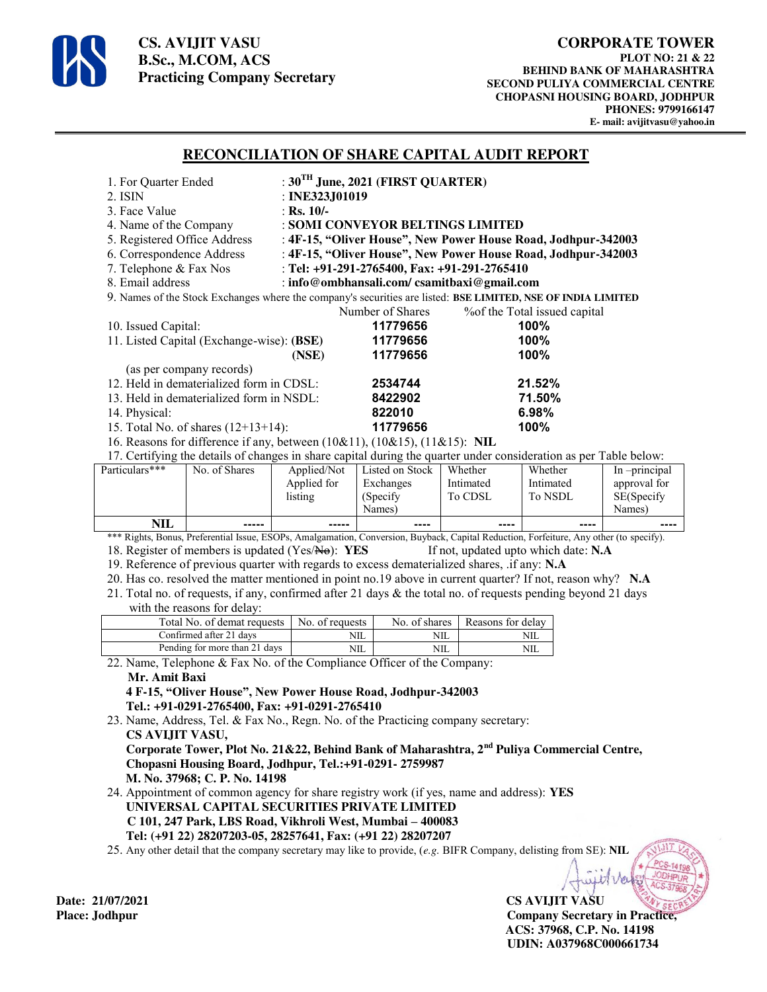

**CS. AVIJIT VASU B.Sc., M.COM, ACS Practicing Company Secretary** 

## **RECONCILIATION OF SHARE CAPITAL AUDIT REPORT**

| 1. For Quarter Ended                                                                                                                                                                                                                |                                                               | : $30^{\text{TH}}$ June, 2021 (FIRST QUARTER) |            |                 |                   |            |              |  |
|-------------------------------------------------------------------------------------------------------------------------------------------------------------------------------------------------------------------------------------|---------------------------------------------------------------|-----------------------------------------------|------------|-----------------|-------------------|------------|--------------|--|
| 2. ISIN                                                                                                                                                                                                                             |                                                               | : INE323J01019                                |            |                 |                   |            |              |  |
| 3. Face Value                                                                                                                                                                                                                       |                                                               | : Rs. $10/-$                                  |            |                 |                   |            |              |  |
| 4. Name of the Company                                                                                                                                                                                                              |                                                               | : SOMI CONVEYOR BELTINGS LIMITED              |            |                 |                   |            |              |  |
| 5. Registered Office Address                                                                                                                                                                                                        | : 4F-15, "Oliver House", New Power House Road, Jodhpur-342003 |                                               |            |                 |                   |            |              |  |
| 6. Correspondence Address<br>: 4F-15, "Oliver House", New Power House Road, Jodhpur-342003                                                                                                                                          |                                                               |                                               |            |                 |                   |            |              |  |
| : Tel: +91-291-2765400, Fax: +91-291-2765410<br>7. Telephone & Fax Nos                                                                                                                                                              |                                                               |                                               |            |                 |                   |            |              |  |
| 8. Email address<br>: info@ombhansali.com/csamitbaxi@gmail.com                                                                                                                                                                      |                                                               |                                               |            |                 |                   |            |              |  |
| 9. Names of the Stock Exchanges where the company's securities are listed: BSE LIMITED, NSE OF INDIA LIMITED                                                                                                                        |                                                               |                                               |            |                 |                   |            |              |  |
| Number of Shares<br>% of the Total issued capital                                                                                                                                                                                   |                                                               |                                               |            |                 |                   |            |              |  |
| 10. Issued Capital:                                                                                                                                                                                                                 |                                                               | 11779656<br>100%                              |            |                 |                   |            |              |  |
| 11. Listed Capital (Exchange-wise): (BSE)                                                                                                                                                                                           | 11779656                                                      |                                               |            | 100%            |                   |            |              |  |
|                                                                                                                                                                                                                                     |                                                               | 11779656<br>(NSE)                             |            |                 |                   | 100%       |              |  |
|                                                                                                                                                                                                                                     | (as per company records)                                      |                                               |            |                 |                   |            |              |  |
| 12. Held in dematerialized form in CDSL:                                                                                                                                                                                            | 2534744                                                       |                                               | 21.52%     |                 |                   |            |              |  |
| 13. Held in dematerialized form in NSDL:                                                                                                                                                                                            | 8422902                                                       |                                               | 71.50%     |                 |                   |            |              |  |
| 14. Physical:                                                                                                                                                                                                                       |                                                               | 822010                                        |            | 6.98%           |                   |            |              |  |
|                                                                                                                                                                                                                                     | 15. Total No. of shares $(12+13+14)$ :                        |                                               |            | 11779656        |                   | 100%       |              |  |
| 16. Reasons for difference if any, between (10&11), (10&15), (11&15): NIL                                                                                                                                                           |                                                               |                                               |            |                 |                   |            |              |  |
| 17. Certifying the details of changes in share capital during the quarter under consideration as per Table below:                                                                                                                   |                                                               |                                               |            |                 |                   |            |              |  |
| Particulars***                                                                                                                                                                                                                      | No. of Shares                                                 | Applied/Not                                   |            | Listed on Stock | Whether           | Whether    | In-principal |  |
|                                                                                                                                                                                                                                     |                                                               | Applied for                                   |            | Exchanges       | Intimated         | Intimated  | approval for |  |
|                                                                                                                                                                                                                                     |                                                               | listing                                       | (Specify   |                 | To CDSL           | To NSDL    | SE(Specify   |  |
| <b>NIL</b>                                                                                                                                                                                                                          |                                                               |                                               | Names)     |                 |                   |            | Names)       |  |
|                                                                                                                                                                                                                                     | -----                                                         | -----                                         |            | ----            | ----              | ----       |              |  |
| *** Rights, Bonus, Preferential Issue, ESOPs, Amalgamation, Conversion, Buyback, Capital Reduction, Forfeiture, Any other (to specify).<br>18. Register of members is updated (Yes/No): YES<br>If not, updated upto which date: N.A |                                                               |                                               |            |                 |                   |            |              |  |
| 19. Reference of previous quarter with regards to excess dematerialized shares, .if any: N.A.                                                                                                                                       |                                                               |                                               |            |                 |                   |            |              |  |
| 20. Has co. resolved the matter mentioned in point no.19 above in current quarter? If not, reason why? N.A.                                                                                                                         |                                                               |                                               |            |                 |                   |            |              |  |
| 21. Total no. of requests, if any, confirmed after 21 days & the total no. of requests pending beyond 21 days                                                                                                                       |                                                               |                                               |            |                 |                   |            |              |  |
|                                                                                                                                                                                                                                     | with the reasons for delay:                                   |                                               |            |                 |                   |            |              |  |
| Total No. of demat requests                                                                                                                                                                                                         |                                                               | No. of requests                               |            | No. of shares   | Reasons for delay |            |              |  |
| Confirmed after 21 days                                                                                                                                                                                                             |                                                               |                                               | NIL        | $NIL$           |                   | <b>NIL</b> |              |  |
| Pending for more than 21 days                                                                                                                                                                                                       |                                                               |                                               | <b>NIL</b> | NIL             |                   | NIL        |              |  |
| 22. Name, Telephone & Fax No. of the Compliance Officer of the Company:                                                                                                                                                             |                                                               |                                               |            |                 |                   |            |              |  |
| Mr. Amit Baxi                                                                                                                                                                                                                       |                                                               |                                               |            |                 |                   |            |              |  |
| 4 F-15, "Oliver House", New Power House Road, Jodhpur-342003                                                                                                                                                                        |                                                               |                                               |            |                 |                   |            |              |  |
| Tel.: +91-0291-2765400, Fax: +91-0291-2765410                                                                                                                                                                                       |                                                               |                                               |            |                 |                   |            |              |  |
| 23. Name, Address, Tel. & Fax No., Regn. No. of the Practicing company secretary:                                                                                                                                                   |                                                               |                                               |            |                 |                   |            |              |  |
| CS AVIJIT VASU,                                                                                                                                                                                                                     |                                                               |                                               |            |                 |                   |            |              |  |
| Corporate Tower, Plot No. 21&22, Behind Bank of Maharashtra, 2 <sup>nd</sup> Puliya Commercial Centre,                                                                                                                              |                                                               |                                               |            |                 |                   |            |              |  |
| Chopasni Housing Board, Jodhpur, Tel.:+91-0291-2759987                                                                                                                                                                              |                                                               |                                               |            |                 |                   |            |              |  |
| M. No. 37968; C. P. No. 14198                                                                                                                                                                                                       |                                                               |                                               |            |                 |                   |            |              |  |
| 24. Appointment of common agency for share registry work (if yes, name and address): YES                                                                                                                                            |                                                               |                                               |            |                 |                   |            |              |  |
| UNIVERSAL CAPITAL SECURITIES PRIVATE LIMITED                                                                                                                                                                                        |                                                               |                                               |            |                 |                   |            |              |  |
| C 101, 247 Park, LBS Road, Vikhroli West, Mumbai - 400083                                                                                                                                                                           |                                                               |                                               |            |                 |                   |            |              |  |
| Tel: (+91 22) 28207203-05, 28257641, Fax: (+91 22) 28207207                                                                                                                                                                         |                                                               |                                               |            |                 |                   |            |              |  |

25. Any other detail that the company secretary may like to provide, (*e.g.* BIFR Company, delisting from SE): **NIL**

**CS AVIJIT VASU Place: Jodhpur Company Secretary in Practice, ACS: 37968, C.P. No. 14198 UDIN: A037968C000661734** 

Date: 21/07/2021